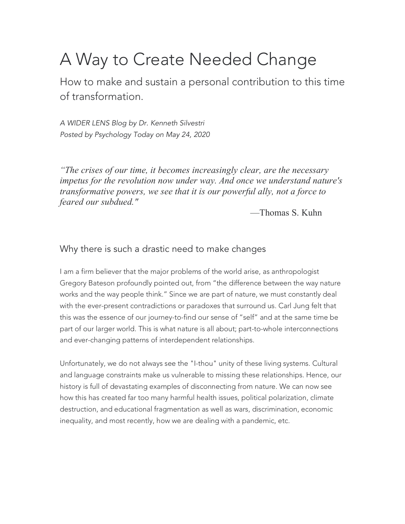# A Way to Create Needed Change

How to make and sustain a personal contribution to this time of transformation.

*A WIDER LENS Blog by Dr. Kenneth Silvestri Posted by Psychology Today on May 24, 2020*

*"The crises of our time, it becomes increasingly clear, are the necessary impetus for the revolution now under way. And once we understand nature's transformative powers, we see that it is our powerful ally, not a force to feared our subdued."*

—Thomas S. Kuhn

## Why there is such a drastic need to make changes

I am a firm believer that the major problems of the world arise, as anthropologist Gregory Bateson profoundly pointed out, from "the difference between the way nature works and the way people think." Since we are part of nature, we must constantly deal with the ever-present contradictions or paradoxes that surround us. Carl Jung felt that this was the essence of our journey-to-find our sense of "self" and at the same time be part of our larger world. This is what nature is all about; part-to-whole interconnections and ever-changing patterns of interdependent relationships.

Unfortunately, we do not always see the "I-thou" unity of these living systems. Cultural and language constraints make us vulnerable to missing these relationships. Hence, our history is full of devastating examples of disconnecting from nature. We can now see how this has created far too many harmful health issues, political polarization, climate destruction, and educational fragmentation as well as wars, discrimination, economic inequality, and most recently, how we are dealing with a pandemic, etc.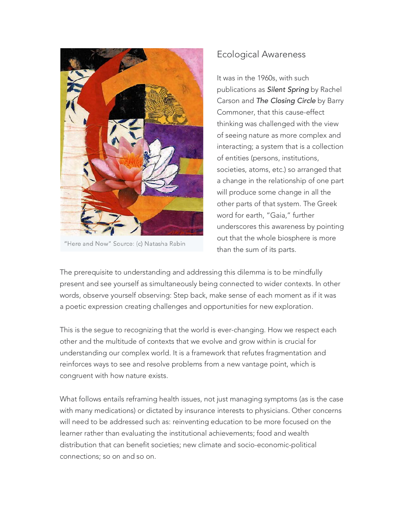

"Here and Now" Source: (c) Natasha Rabin

## Ecological Awareness

It was in the 1960s, with such publications as *Silent Spring* by Rachel Carson and *The Closing Circle* by Barry Commoner, that this cause-effect thinking was challenged with the view of seeing nature as more complex and interacting; a system that is a collection of entities (persons, institutions, societies, atoms, etc.) so arranged that a change in the relationship of one part will produce some change in all the other parts of that system. The Greek word for earth, "Gaia," further underscores this awareness by pointing out that the whole biosphere is more than the sum of its parts.

The prerequisite to understanding and addressing this dilemma is to be mindfully present and see yourself as simultaneously being connected to wider contexts. In other words, observe yourself observing: Step back, make sense of each moment as if it was a poetic expression creating challenges and opportunities for new exploration.

This is the segue to recognizing that the world is ever-changing. How we respect each other and the multitude of contexts that we evolve and grow within is crucial for understanding our complex world. It is a framework that refutes fragmentation and reinforces ways to see and resolve problems from a new vantage point, which is congruent with how nature exists.

What follows entails reframing health issues, not just managing symptoms (as is the case with many medications) or dictated by insurance interests to physicians. Other concerns will need to be addressed such as: reinventing education to be more focused on the learner rather than evaluating the institutional achievements; food and wealth distribution that can benefit societies; new climate and socio-economic-political connections; so on and so on.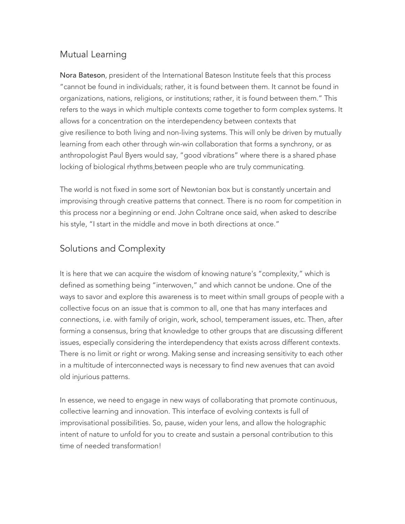# Mutual Learning

Nora Bateson, president of the International Bateson Institute feels that this process "cannot be found in individuals; rather, it is found between them. It cannot be found in organizations, nations, religions, or institutions; rather, it is found between them." This refers to the ways in which multiple contexts come together to form complex systems. It allows for a concentration on the interdependency between contexts that give resilience to both living and non-living systems. This will only be driven by mutually learning from each other through win-win collaboration that forms a synchrony, or as anthropologist Paul Byers would say, "good vibrations" where there is a shared phase locking of biological rhythms\_between people who are truly communicating.

The world is not fixed in some sort of Newtonian box but is constantly uncertain and improvising through creative patterns that connect. There is no room for competition in this process nor a beginning or end. John Coltrane once said, when asked to describe his style, "I start in the middle and move in both directions at once."

## Solutions and Complexity

It is here that we can acquire the wisdom of knowing nature's "complexity," which is defined as something being "interwoven," and which cannot be undone. One of the ways to savor and explore this awareness is to meet within small groups of people with a collective focus on an issue that is common to all, one that has many interfaces and connections, i.e. with family of origin, work, school, temperament issues, etc. Then, after forming a consensus, bring that knowledge to other groups that are discussing different issues, especially considering the interdependency that exists across different contexts. There is no limit or right or wrong. Making sense and increasing sensitivity to each other in a multitude of interconnected ways is necessary to find new avenues that can avoid old injurious patterns.

In essence, we need to engage in new ways of collaborating that promote continuous, collective learning and innovation. This interface of evolving contexts is full of improvisational possibilities. So, pause, widen your lens, and allow the holographic intent of nature to unfold for you to create and sustain a personal contribution to this time of needed transformation!